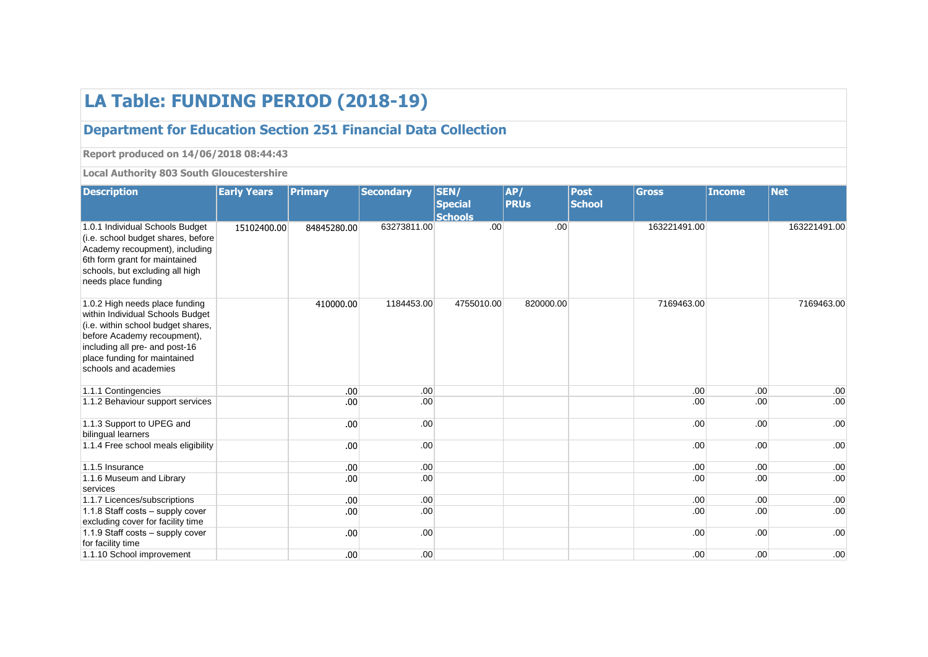## **LA Table: FUNDING PERIOD (2018-19)**

## **Department for Education Section 251 Financial Data Collection**

**Report produced on 14/06/2018 08:44:43**

**Local Authority 803 South Gloucestershire**

| <b>Description</b>                                                                                                                                                                                                                 | <b>Early Years</b> | <b>Primary</b>   | <b>Secondary</b> | SEN/<br><b>Special</b> | AP/<br><b>PRUs</b> | <b>Post</b><br><b>School</b> | <b>Gross</b> | <b>Income</b>    | <b>Net</b>   |
|------------------------------------------------------------------------------------------------------------------------------------------------------------------------------------------------------------------------------------|--------------------|------------------|------------------|------------------------|--------------------|------------------------------|--------------|------------------|--------------|
|                                                                                                                                                                                                                                    |                    |                  |                  | <b>Schools</b>         |                    |                              |              |                  |              |
| 1.0.1 Individual Schools Budget<br>(i.e. school budget shares, before<br>Academy recoupment), including<br>6th form grant for maintained<br>schools, but excluding all high<br>needs place funding                                 | 15102400.00        | 84845280.00      | 63273811.00      | .00 <sub>1</sub>       | .00                |                              | 163221491.00 |                  | 163221491.00 |
| 1.0.2 High needs place funding<br>within Individual Schools Budget<br>(i.e. within school budget shares,<br>before Academy recoupment),<br>including all pre- and post-16<br>place funding for maintained<br>schools and academies |                    | 410000.00        | 1184453.00       | 4755010.00             | 820000.00          |                              | 7169463.00   |                  | 7169463.00   |
| 1.1.1 Contingencies                                                                                                                                                                                                                |                    | .00              | .00              |                        |                    |                              | .00.         | .00              | .00          |
| 1.1.2 Behaviour support services                                                                                                                                                                                                   |                    | .00              | .00              |                        |                    |                              | .00.         | .00              | .00          |
| 1.1.3 Support to UPEG and<br>bilingual learners                                                                                                                                                                                    |                    | .00              | .00              |                        |                    |                              | .00.         | .00              | .00          |
| 1.1.4 Free school meals eligibility                                                                                                                                                                                                |                    | .00              | .00              |                        |                    |                              | .00.         | .00              | .00          |
| 1.1.5 Insurance                                                                                                                                                                                                                    |                    | .00              | .00              |                        |                    |                              | .00.         | .00 <sub>1</sub> | .00          |
| 1.1.6 Museum and Library<br>services                                                                                                                                                                                               |                    | .00              | .00              |                        |                    |                              | .00.         | .00              | .00          |
| 1.1.7 Licences/subscriptions                                                                                                                                                                                                       |                    | .00.             | .00              |                        |                    |                              | .00.         | .00              | .00          |
| 1.1.8 Staff costs - supply cover<br>excluding cover for facility time                                                                                                                                                              |                    | .00              | .00              |                        |                    |                              | .00.         | .00              | .00          |
| 1.1.9 Staff costs - supply cover<br>for facility time                                                                                                                                                                              |                    | .00              | .00              |                        |                    |                              | .00.         | .00              | .00          |
| 1.1.10 School improvement                                                                                                                                                                                                          |                    | .00 <sub>1</sub> | .00              |                        |                    |                              | .00.         | .00              | .00          |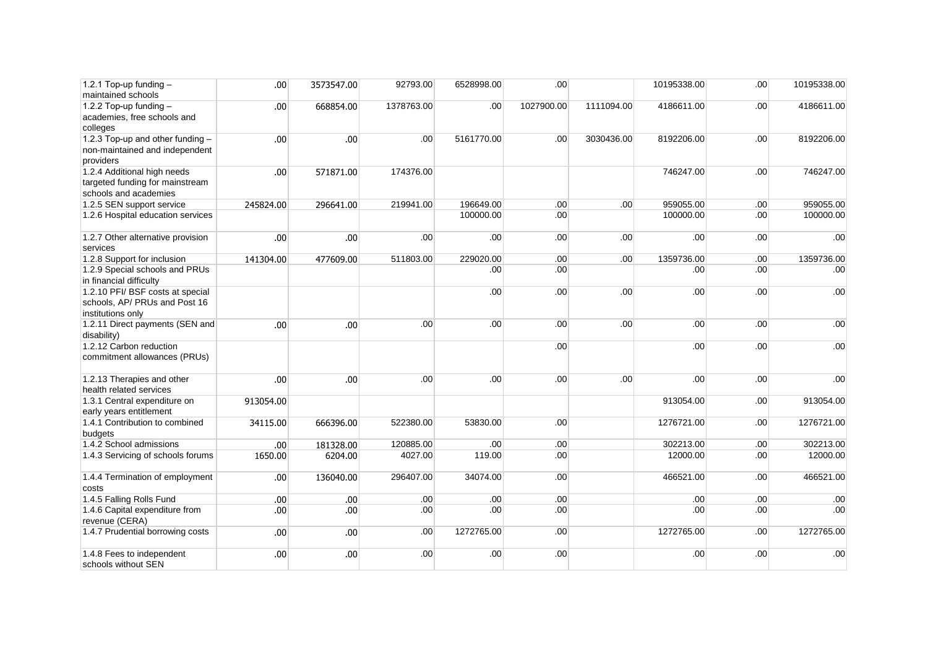| 1.2.1 Top-up funding $-$<br>maintained schools                                          | .00 <sub>1</sub> | 3573547.00       | 92793.00   | 6528998.00       | .00        |            | 10195338.00 | .00 | 10195338.00 |
|-----------------------------------------------------------------------------------------|------------------|------------------|------------|------------------|------------|------------|-------------|-----|-------------|
| 1.2.2 Top-up funding $-$<br>academies, free schools and<br>colleges                     | .00 <sub>1</sub> | 668854.00        | 1378763.00 | .00              | 1027900.00 | 1111094.00 | 4186611.00  | .00 | 4186611.00  |
| 1.2.3 Top-up and other funding -<br>non-maintained and independent<br>providers         | .00              | .00              | .00        | 5161770.00       | .00        | 3030436.00 | 8192206.00  | .00 | 8192206.00  |
| 1.2.4 Additional high needs<br>targeted funding for mainstream<br>schools and academies | .00              | 571871.00        | 174376.00  |                  |            |            | 746247.00   | .00 | 746247.00   |
| 1.2.5 SEN support service                                                               | 245824.00        | 296641.00        | 219941.00  | 196649.00        | .00        | .00        | 959055.00   | .00 | 959055.00   |
| 1.2.6 Hospital education services                                                       |                  |                  |            | 100000.00        | .00        |            | 100000.00   | .00 | 100000.00   |
| 1.2.7 Other alternative provision<br>services                                           | .00              | .00              | .00        | .00 <sub>1</sub> | .00        | .00        | .00         | .00 | .00         |
| 1.2.8 Support for inclusion                                                             | 141304.00        | 477609.00        | 511803.00  | 229020.00        | .00        | .00        | 1359736.00  | .00 | 1359736.00  |
| 1.2.9 Special schools and PRUs<br>in financial difficulty                               |                  |                  |            | .00 <sub>1</sub> | .00        |            | .00         | .00 | .00         |
| 1.2.10 PFI/ BSF costs at special<br>schools, AP/ PRUs and Post 16<br>institutions only  |                  |                  |            | .00              | .00        | .00        | .00         | .00 | .00         |
| 1.2.11 Direct payments (SEN and<br>disability)                                          | .00              | .00              | .00        | .00 <sub>1</sub> | .00        | .00        | .00         | .00 | .00         |
| 1.2.12 Carbon reduction<br>commitment allowances (PRUs)                                 |                  |                  |            |                  | .00        |            | .00         | .00 | .00         |
| 1.2.13 Therapies and other<br>health related services                                   | .00              | .00.             | .00        | .00              | .00        | .00        | .00         | .00 | .00         |
| 1.3.1 Central expenditure on<br>early years entitlement                                 | 913054.00        |                  |            |                  |            |            | 913054.00   | .00 | 913054.00   |
| 1.4.1 Contribution to combined<br>budgets                                               | 34115.00         | 666396.00        | 522380.00  | 53830.00         | .00        |            | 1276721.00  | .00 | 1276721.00  |
| 1.4.2 School admissions                                                                 | .00              | 181328.00        | 120885.00  | .00 <sub>1</sub> | .00        |            | 302213.00   | .00 | 302213.00   |
| 1.4.3 Servicing of schools forums                                                       | 1650.00          | 6204.00          | 4027.00    | 119.00           | .00        |            | 12000.00    | .00 | 12000.00    |
| 1.4.4 Termination of employment<br>costs                                                | .00              | 136040.00        | 296407.00  | 34074.00         | .00        |            | 466521.00   | .00 | 466521.00   |
| 1.4.5 Falling Rolls Fund                                                                | .00 <sub>1</sub> | .00 <sub>1</sub> | .00        | .00 <sub>1</sub> | .00        |            | .00         | .00 | .00         |
| 1.4.6 Capital expenditure from<br>revenue (CERA)                                        | .00              | .00              | .00        | .00 <sub>1</sub> | .00        |            | .00         | .00 | .00         |
| 1.4.7 Prudential borrowing costs                                                        | .00              | .00              | .00        | 1272765.00       | .00        |            | 1272765.00  | .00 | 1272765.00  |
| 1.4.8 Fees to independent<br>schools without SEN                                        | .00              | .00              | .00        | .00              | .00        |            | .00         | .00 | .00         |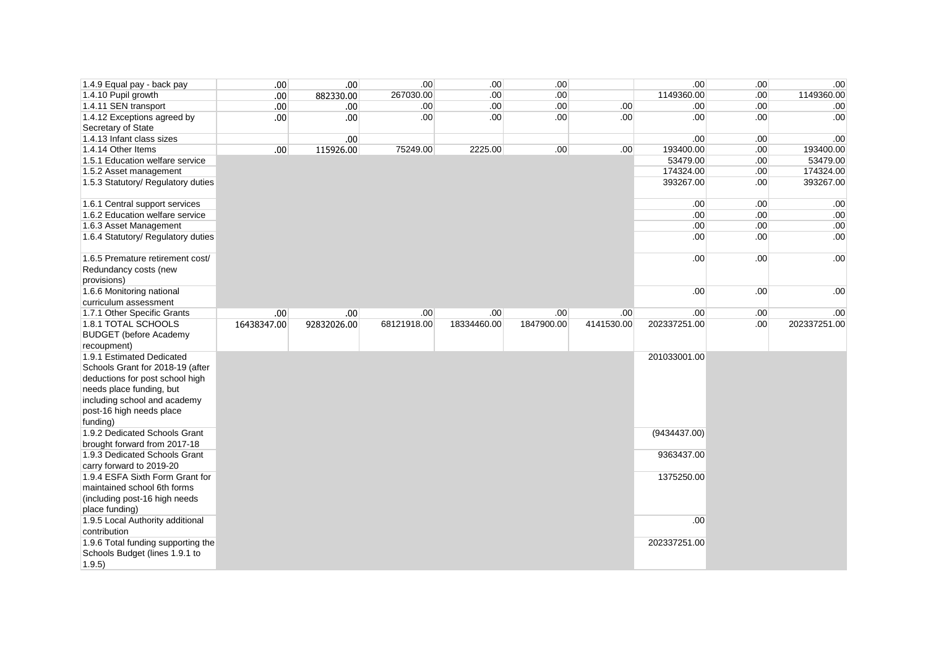| 1.4.9 Equal pay - back pay         | .00         | .00.        | .00         | .00              | .00        |                  | .00 <sub>1</sub> | .00 | .00          |
|------------------------------------|-------------|-------------|-------------|------------------|------------|------------------|------------------|-----|--------------|
| 1.4.10 Pupil growth                | .00         | 882330.00   | 267030.00   | .00              | .00        |                  | 1149360.00       | .00 | 1149360.00   |
| 1.4.11 SEN transport               | .00         | .00         | .00         | .00              | .00        | .00 <sub>1</sub> | .00 <sub>1</sub> | .00 | .00          |
| 1.4.12 Exceptions agreed by        | .00         | .00         | .00         | .00              | .00        | .00              | .00 <sub>1</sub> | .00 | .00          |
| Secretary of State                 |             |             |             |                  |            |                  |                  |     |              |
| 1.4.13 Infant class sizes          |             | .00         |             |                  |            |                  | .00 <sub>1</sub> | .00 | .00          |
| 1.4.14 Other Items                 | .00         | 115926.00   | 75249.00    | 2225.00          | .00        | .00.             | 193400.00        | .00 | 193400.00    |
| 1.5.1 Education welfare service    |             |             |             |                  |            |                  | 53479.00         | .00 | 53479.00     |
| 1.5.2 Asset management             |             |             |             |                  |            |                  | 174324.00        | .00 | 174324.00    |
| 1.5.3 Statutory/ Regulatory duties |             |             |             |                  |            |                  | 393267.00        | .00 | 393267.00    |
| 1.6.1 Central support services     |             |             |             |                  |            |                  | .00 <sub>1</sub> | .00 | .00          |
| 1.6.2 Education welfare service    |             |             |             |                  |            |                  | .00 <sub>1</sub> | .00 | .00          |
| 1.6.3 Asset Management             |             |             |             |                  |            |                  | .00 <sub>1</sub> | .00 | .00          |
| 1.6.4 Statutory/ Regulatory duties |             |             |             |                  |            |                  | .00.             | .00 | .00          |
| 1.6.5 Premature retirement cost/   |             |             |             |                  |            |                  | .00 <sub>1</sub> | .00 | .00          |
| Redundancy costs (new              |             |             |             |                  |            |                  |                  |     |              |
| provisions)                        |             |             |             |                  |            |                  |                  |     |              |
| 1.6.6 Monitoring national          |             |             |             |                  |            |                  | .00 <sub>1</sub> | .00 | .00          |
| curriculum assessment              |             |             |             |                  |            |                  |                  |     |              |
| 1.7.1 Other Specific Grants        | .00         | .00         | .00         | .00 <sub>1</sub> | .00        | .00.             | .00.             | .00 | .00          |
| 1.8.1 TOTAL SCHOOLS                | 16438347.00 | 92832026.00 | 68121918.00 | 18334460.00      | 1847900.00 | 4141530.00       | 202337251.00     | .00 | 202337251.00 |
| <b>BUDGET</b> (before Academy      |             |             |             |                  |            |                  |                  |     |              |
| recoupment)                        |             |             |             |                  |            |                  |                  |     |              |
| 1.9.1 Estimated Dedicated          |             |             |             |                  |            |                  | 201033001.00     |     |              |
| Schools Grant for 2018-19 (after   |             |             |             |                  |            |                  |                  |     |              |
| deductions for post school high    |             |             |             |                  |            |                  |                  |     |              |
| needs place funding, but           |             |             |             |                  |            |                  |                  |     |              |
| including school and academy       |             |             |             |                  |            |                  |                  |     |              |
| post-16 high needs place           |             |             |             |                  |            |                  |                  |     |              |
| funding)                           |             |             |             |                  |            |                  |                  |     |              |
| 1.9.2 Dedicated Schools Grant      |             |             |             |                  |            |                  | (9434437.00)     |     |              |
| brought forward from 2017-18       |             |             |             |                  |            |                  |                  |     |              |
| 1.9.3 Dedicated Schools Grant      |             |             |             |                  |            |                  | 9363437.00       |     |              |
| carry forward to 2019-20           |             |             |             |                  |            |                  |                  |     |              |
| 1.9.4 ESFA Sixth Form Grant for    |             |             |             |                  |            |                  | 1375250.00       |     |              |
| maintained school 6th forms        |             |             |             |                  |            |                  |                  |     |              |
| (including post-16 high needs      |             |             |             |                  |            |                  |                  |     |              |
| place funding)                     |             |             |             |                  |            |                  |                  |     |              |
| 1.9.5 Local Authority additional   |             |             |             |                  |            |                  | .00 <sub>1</sub> |     |              |
| contribution                       |             |             |             |                  |            |                  |                  |     |              |
| 1.9.6 Total funding supporting the |             |             |             |                  |            |                  | 202337251.00     |     |              |
| Schools Budget (lines 1.9.1 to     |             |             |             |                  |            |                  |                  |     |              |
| 1.9.5                              |             |             |             |                  |            |                  |                  |     |              |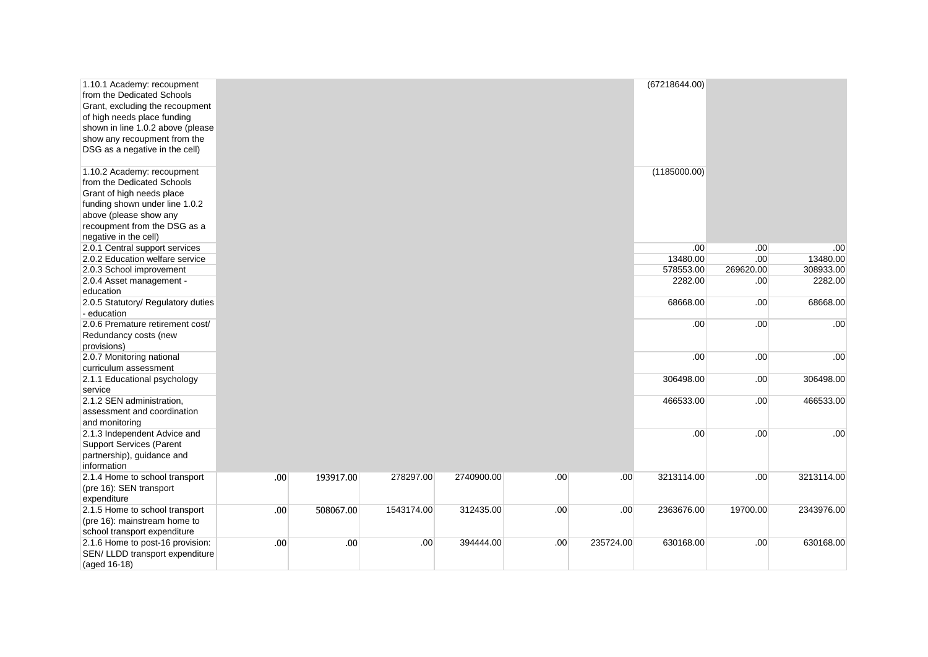| 1.10.1 Academy: recoupment<br>from the Dedicated Schools<br>Grant, excluding the recoupment<br>of high needs place funding<br>shown in line 1.0.2 above (please<br>show any recoupment from the<br>DSG as a negative in the cell)<br>1.10.2 Academy: recoupment<br>from the Dedicated Schools<br>Grant of high needs place<br>funding shown under line 1.0.2<br>above (please show any<br>recoupment from the DSG as a<br>negative in the cell) |      |           |            |            |     |           | (67218644.00)<br>(1185000.00) |           |            |
|-------------------------------------------------------------------------------------------------------------------------------------------------------------------------------------------------------------------------------------------------------------------------------------------------------------------------------------------------------------------------------------------------------------------------------------------------|------|-----------|------------|------------|-----|-----------|-------------------------------|-----------|------------|
| 2.0.1 Central support services                                                                                                                                                                                                                                                                                                                                                                                                                  |      |           |            |            |     |           | .00                           | .00       | .00        |
| 2.0.2 Education welfare service                                                                                                                                                                                                                                                                                                                                                                                                                 |      |           |            |            |     |           | 13480.00                      | .00       | 13480.00   |
| 2.0.3 School improvement                                                                                                                                                                                                                                                                                                                                                                                                                        |      |           |            |            |     |           | 578553.00                     | 269620.00 | 308933.00  |
| 2.0.4 Asset management -                                                                                                                                                                                                                                                                                                                                                                                                                        |      |           |            |            |     |           | 2282.00                       | .00       | 2282.00    |
| education                                                                                                                                                                                                                                                                                                                                                                                                                                       |      |           |            |            |     |           |                               |           |            |
| 2.0.5 Statutory/ Regulatory duties                                                                                                                                                                                                                                                                                                                                                                                                              |      |           |            |            |     |           | 68668.00                      | .00       | 68668.00   |
| - education                                                                                                                                                                                                                                                                                                                                                                                                                                     |      |           |            |            |     |           |                               |           |            |
| 2.0.6 Premature retirement cost/                                                                                                                                                                                                                                                                                                                                                                                                                |      |           |            |            |     |           | .00                           | .00       | .00        |
| Redundancy costs (new                                                                                                                                                                                                                                                                                                                                                                                                                           |      |           |            |            |     |           |                               |           |            |
| provisions)                                                                                                                                                                                                                                                                                                                                                                                                                                     |      |           |            |            |     |           |                               |           |            |
| 2.0.7 Monitoring national                                                                                                                                                                                                                                                                                                                                                                                                                       |      |           |            |            |     |           | .00                           | .00       | .00        |
| curriculum assessment                                                                                                                                                                                                                                                                                                                                                                                                                           |      |           |            |            |     |           |                               |           |            |
| 2.1.1 Educational psychology<br>service                                                                                                                                                                                                                                                                                                                                                                                                         |      |           |            |            |     |           | 306498.00                     | .00       | 306498.00  |
| 2.1.2 SEN administration,<br>assessment and coordination<br>and monitoring                                                                                                                                                                                                                                                                                                                                                                      |      |           |            |            |     |           | 466533.00                     | .00       | 466533.00  |
| 2.1.3 Independent Advice and<br><b>Support Services (Parent</b><br>partnership), guidance and<br>information                                                                                                                                                                                                                                                                                                                                    |      |           |            |            |     |           | .00.                          | .00       | .00        |
| 2.1.4 Home to school transport<br>(pre 16): SEN transport<br>expenditure                                                                                                                                                                                                                                                                                                                                                                        | .00. | 193917.00 | 278297.00  | 2740900.00 | .00 | .00       | 3213114.00                    | .00       | 3213114.00 |
| 2.1.5 Home to school transport<br>(pre 16): mainstream home to<br>school transport expenditure                                                                                                                                                                                                                                                                                                                                                  | .00. | 508067.00 | 1543174.00 | 312435.00  | .00 | .00       | 2363676.00                    | 19700.00  | 2343976.00 |
| 2.1.6 Home to post-16 provision:<br>SEN/ LLDD transport expenditure<br>(aged 16-18)                                                                                                                                                                                                                                                                                                                                                             | .00. | .00       | .00.       | 394444.00  | .00 | 235724.00 | 630168.00                     | .00       | 630168.00  |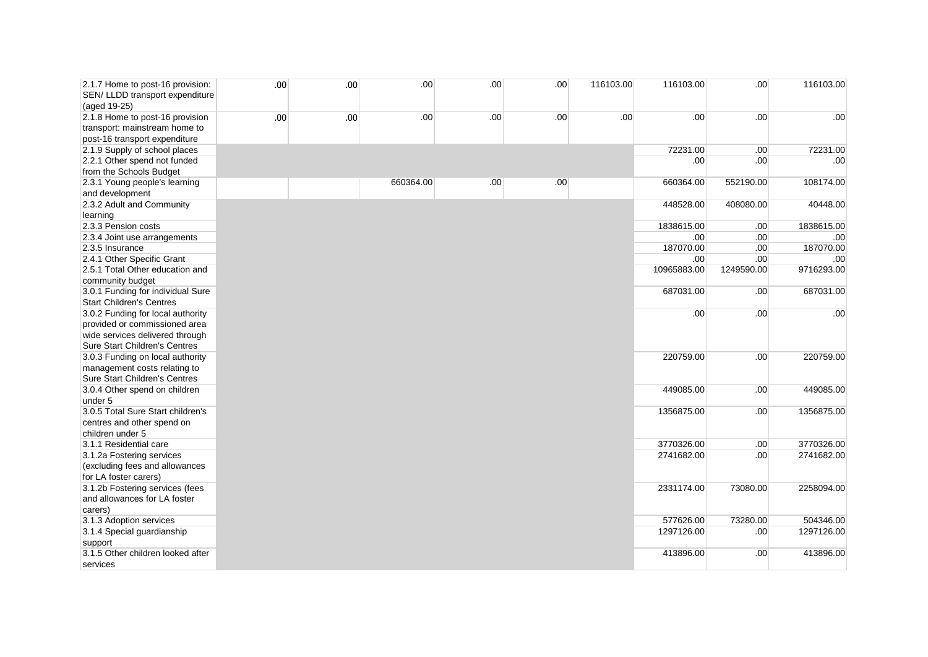| 2.1.7 Home to post-16 provision:<br>SEN/ LLDD transport expenditure<br>(aged 19-25) | .00 | .00 | .00       | .00 | .00.             | 116103.00 | 116103.00   | .00        | 116103.00  |
|-------------------------------------------------------------------------------------|-----|-----|-----------|-----|------------------|-----------|-------------|------------|------------|
| 2.1.8 Home to post-16 provision<br>transport: mainstream home to                    | .00 | .00 | .00       | .00 | .00 <sub>1</sub> | .00.      | .00         | .00        | .00        |
| post-16 transport expenditure                                                       |     |     |           |     |                  |           |             |            |            |
| 2.1.9 Supply of school places                                                       |     |     |           |     |                  |           | 72231.00    | .00        | 72231.00   |
| 2.2.1 Other spend not funded                                                        |     |     |           |     |                  |           | .00         | .00        | .00        |
| from the Schools Budget                                                             |     |     |           |     |                  |           |             |            |            |
| 2.3.1 Young people's learning                                                       |     |     | 660364.00 | .00 | .00.             |           | 660364.00   | 552190.00  | 108174.00  |
| and development                                                                     |     |     |           |     |                  |           |             |            |            |
| 2.3.2 Adult and Community                                                           |     |     |           |     |                  |           | 448528.00   | 408080.00  | 40448.00   |
| learning                                                                            |     |     |           |     |                  |           |             |            |            |
| 2.3.3 Pension costs                                                                 |     |     |           |     |                  |           | 1838615.00  | .00        | 1838615.00 |
| 2.3.4 Joint use arrangements                                                        |     |     |           |     |                  |           | .00         | .00        | .00        |
| 2.3.5 Insurance                                                                     |     |     |           |     |                  |           | 187070.00   | .00        | 187070.00  |
| 2.4.1 Other Specific Grant                                                          |     |     |           |     |                  |           | .00         | .00        | .00        |
| 2.5.1 Total Other education and                                                     |     |     |           |     |                  |           | 10965883.00 | 1249590.00 | 9716293.00 |
| community budget                                                                    |     |     |           |     |                  |           |             |            | 687031.00  |
| 3.0.1 Funding for individual Sure<br><b>Start Children's Centres</b>                |     |     |           |     |                  |           | 687031.00   | .00        |            |
|                                                                                     |     |     |           |     |                  |           |             |            |            |
| 3.0.2 Funding for local authority                                                   |     |     |           |     |                  |           | .00         | .00        | .00        |
| provided or commissioned area                                                       |     |     |           |     |                  |           |             |            |            |
| wide services delivered through                                                     |     |     |           |     |                  |           |             |            |            |
| Sure Start Children's Centres                                                       |     |     |           |     |                  |           | 220759.00   | .00        | 220759.00  |
| 3.0.3 Funding on local authority                                                    |     |     |           |     |                  |           |             |            |            |
| management costs relating to<br>Sure Start Children's Centres                       |     |     |           |     |                  |           |             |            |            |
| 3.0.4 Other spend on children                                                       |     |     |           |     |                  |           | 449085.00   | .00        | 449085.00  |
| under 5                                                                             |     |     |           |     |                  |           |             |            |            |
| 3.0.5 Total Sure Start children's                                                   |     |     |           |     |                  |           | 1356875.00  | .00        | 1356875.00 |
| centres and other spend on                                                          |     |     |           |     |                  |           |             |            |            |
| children under 5                                                                    |     |     |           |     |                  |           |             |            |            |
| 3.1.1 Residential care                                                              |     |     |           |     |                  |           | 3770326.00  | .00        | 3770326.00 |
| 3.1.2a Fostering services                                                           |     |     |           |     |                  |           | 2741682.00  | .00        | 2741682.00 |
| (excluding fees and allowances                                                      |     |     |           |     |                  |           |             |            |            |
| for LA foster carers)                                                               |     |     |           |     |                  |           |             |            |            |
| 3.1.2b Fostering services (fees                                                     |     |     |           |     |                  |           | 2331174.00  | 73080.00   | 2258094.00 |
| and allowances for LA foster                                                        |     |     |           |     |                  |           |             |            |            |
| carers)                                                                             |     |     |           |     |                  |           |             |            |            |
| 3.1.3 Adoption services                                                             |     |     |           |     |                  |           | 577626.00   | 73280.00   | 504346.00  |
| 3.1.4 Special guardianship                                                          |     |     |           |     |                  |           | 1297126.00  | .00        | 1297126.00 |
| support                                                                             |     |     |           |     |                  |           |             |            |            |
| 3.1.5 Other children looked after                                                   |     |     |           |     |                  |           | 413896.00   | .00        | 413896.00  |
| services                                                                            |     |     |           |     |                  |           |             |            |            |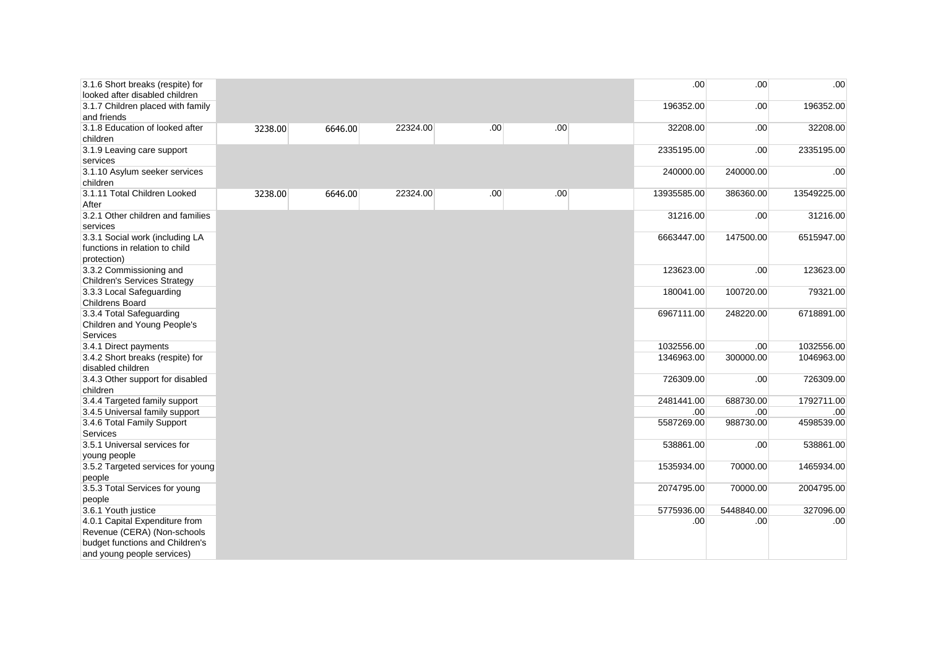| 3.1.6 Short breaks (respite) for<br>looked after disabled children               |         |         |          |     |     | .00.             | .00        | .00 <sub>1</sub> |
|----------------------------------------------------------------------------------|---------|---------|----------|-----|-----|------------------|------------|------------------|
| 3.1.7 Children placed with family<br>and friends                                 |         |         |          |     |     | 196352.00        | .00        | 196352.00        |
| 3.1.8 Education of looked after<br>children                                      | 3238.00 | 6646.00 | 22324.00 | .00 | .00 | 32208.00         | .00        | 32208.00         |
| 3.1.9 Leaving care support<br>services                                           |         |         |          |     |     | 2335195.00       | .00        | 2335195.00       |
| 3.1.10 Asylum seeker services                                                    |         |         |          |     |     | 240000.00        | 240000.00  | .00              |
| children                                                                         |         |         |          |     |     |                  |            |                  |
| 3.1.11 Total Children Looked<br>After                                            | 3238.00 | 6646.00 | 22324.00 | .00 | .00 | 13935585.00      | 386360.00  | 13549225.00      |
| 3.2.1 Other children and families<br>services                                    |         |         |          |     |     | 31216.00         | .00        | 31216.00         |
| 3.3.1 Social work (including LA<br>functions in relation to child<br>protection) |         |         |          |     |     | 6663447.00       | 147500.00  | 6515947.00       |
| 3.3.2 Commissioning and<br><b>Children's Services Strategy</b>                   |         |         |          |     |     | 123623.00        | .00        | 123623.00        |
| 3.3.3 Local Safeguarding                                                         |         |         |          |     |     | 180041.00        | 100720.00  | 79321.00         |
| <b>Childrens Board</b><br>3.3.4 Total Safeguarding                               |         |         |          |     |     | 6967111.00       | 248220.00  | 6718891.00       |
| Children and Young People's                                                      |         |         |          |     |     |                  |            |                  |
| Services                                                                         |         |         |          |     |     |                  |            |                  |
| 3.4.1 Direct payments                                                            |         |         |          |     |     | 1032556.00       | .00        | 1032556.00       |
| 3.4.2 Short breaks (respite) for                                                 |         |         |          |     |     | 1346963.00       | 300000.00  | 1046963.00       |
| disabled children                                                                |         |         |          |     |     |                  |            |                  |
| 3.4.3 Other support for disabled<br>children                                     |         |         |          |     |     | 726309.00        | .00        | 726309.00        |
| 3.4.4 Targeted family support                                                    |         |         |          |     |     | 2481441.00       | 688730.00  | 1792711.00       |
| 3.4.5 Universal family support                                                   |         |         |          |     |     | .00 <sub>1</sub> | .00        | .00              |
| 3.4.6 Total Family Support                                                       |         |         |          |     |     | 5587269.00       | 988730.00  | 4598539.00       |
| Services                                                                         |         |         |          |     |     |                  |            |                  |
| 3.5.1 Universal services for                                                     |         |         |          |     |     | 538861.00        | .00        | 538861.00        |
| young people                                                                     |         |         |          |     |     |                  |            |                  |
| 3.5.2 Targeted services for young                                                |         |         |          |     |     | 1535934.00       | 70000.00   | 1465934.00       |
| people                                                                           |         |         |          |     |     |                  |            |                  |
| 3.5.3 Total Services for young                                                   |         |         |          |     |     | 2074795.00       | 70000.00   | 2004795.00       |
| people<br>3.6.1 Youth justice                                                    |         |         |          |     |     | 5775936.00       | 5448840.00 | 327096.00        |
| 4.0.1 Capital Expenditure from                                                   |         |         |          |     |     | .00 <sub>1</sub> | .00        | .00              |
| Revenue (CERA) (Non-schools                                                      |         |         |          |     |     |                  |            |                  |
| budget functions and Children's                                                  |         |         |          |     |     |                  |            |                  |
| and young people services)                                                       |         |         |          |     |     |                  |            |                  |
|                                                                                  |         |         |          |     |     |                  |            |                  |